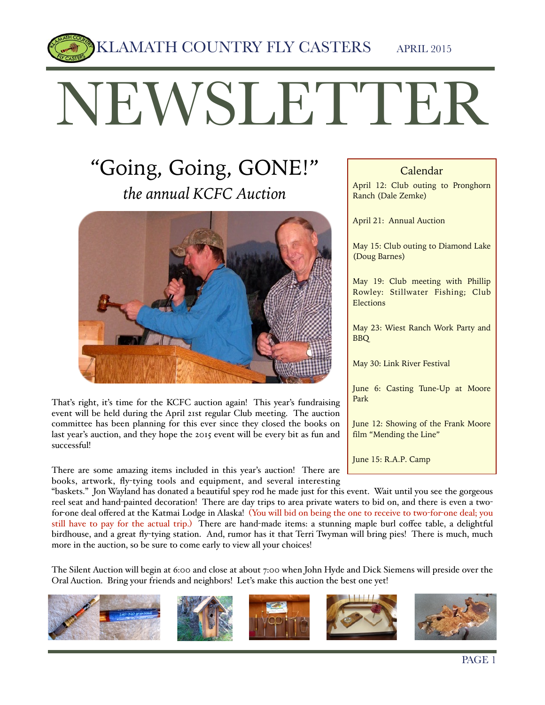KLAMATH COUNTRY FLY CASTERS APRIL 2015

# NEWSLETTER

# "Going, Going, GONE!" *the annual KCFC Auction*



That's right, it's time for the KCFC auction again! This year's fundraising event will be held during the April 21st regular Club meeting. The auction committee has been planning for this ever since they closed the books on last year's auction, and they hope the 2015 event will be every bit as fun and successful!

There are some amazing items included in this year's auction! There are books, artwork, fly-tying tools and equipment, and several interesting

#### Calendar

April 12: Club outing to Pronghorn Ranch (Dale Zemke)

April 21: Annual Auction

May 15: Club outing to Diamond Lake (Doug Barnes)

May 19: Club meeting with Phillip Rowley: Stillwater Fishing; Club Elections

May 23: Wiest Ranch Work Party and BBQ

May 30: Link River Festival

June 6: Casting Tune-Up at Moore Park

June 12: Showing of the Frank Moore film "Mending the Line"

June 15: R.A.P. Camp

"baskets." Jon Wayland has donated a beautiful spey rod he made just for this event. Wait until you see the gorgeous reel seat and hand-painted decoration! There are day trips to area private waters to bid on, and there is even a twofor-one deal offered at the Katmai Lodge in Alaska! (You will bid on being the one to receive to two-for-one deal; you still have to pay for the actual trip.) There are hand-made items: a stunning maple burl coffee table, a delightful birdhouse, and a great fly-tying station. And, rumor has it that Terri Twyman will bring pies! There is much, much more in the auction, so be sure to come early to view all your choices!

The Silent Auction will begin at 6:00 and close at about 7:00 when John Hyde and Dick Siemens will preside over the Oral Auction. Bring your friends and neighbors! Let's make this auction the best one yet!

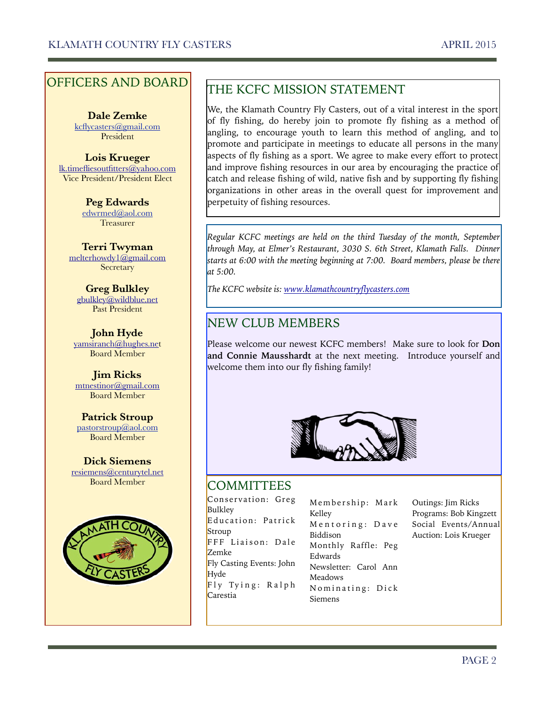#### OFFICERS AND BOARD

**Dale Zemke**  [kcflycasters@gmail.com](mailto:kcflycasters@gmail.com) President

**Lois Krueger** [lk.timefliesoutfitters@yahoo.com](mailto:lk.timefliesoutfitters@yahoo.com) Vice President/President Elect

> **Peg Edwards**  [edwrmed@aol.com](mailto:edwrmed@aol.com) Treasurer

**Terri Twyman**  [melterhowdy1@gmail.com](mailto:melterhowdy1@gmail.com) **Secretary** 

**Greg Bulkley**  [gbulkley@wildblue.net](mailto:gbulkley@wildblue.net) Past President

**John Hyde**  [yamsiranch@hughes.ne](mailto:yamsiranch@hughes.ne)t Board Member

**Jim Ricks** [mtnestinor@gmail.com](mailto:mtnestinor@gmail.com) Board Member

**Patrick Stroup**  [pastorstroup@aol.com](mailto:pastorstroup@aol.com) Board Member

**Dick Siemens**  [resiemens@centurytel.net](mailto:resiemens@centurytel.net) Board Member



## THE KCFC MISSION STATEMENT

We, the Klamath Country Fly Casters, out of a vital interest in the sport of fly fishing, do hereby join to promote fly fishing as a method of angling, to encourage youth to learn this method of angling, and to promote and participate in meetings to educate all persons in the many aspects of fly fishing as a sport. We agree to make every effort to protect and improve fishing resources in our area by encouraging the practice of catch and release fishing of wild, native fish and by supporting fly fishing organizations in other areas in the overall quest for improvement and perpetuity of fishing resources.

*Regular KCFC meetings are held on the third Tuesday of the month, September through May, at Elmer's Restaurant, 3030 S. 6th Street, Klamath Falls. Dinner starts at 6:00 with the meeting beginning at 7:00. Board members, please be there at 5:00.* 

*The KCFC website is: [www.klamathcountryflycasters.com](http://www.klamathcountryflycasters.com)*

#### NEW CLUB MEMBERS

Please welcome our newest KCFC members! Make sure to look for **Don and Connie Mausshardt** at the next meeting. Introduce yourself and welcome them into our fly fishing family!



#### **COMMITTEES**

Conservation: Greg Bulkley Education: Patrick Stroup FFF Liaison: Dale Zemke Fly Casting Events: John Hyde Fly Tying: Ralph Carestia

Membership: Mark Kelley Mentoring: Dave Biddison Monthly Raffle: Peg Edwards Newsletter: Carol Ann Meadows Nominating: Dick Siemens

Outings: Jim Ricks Programs: Bob Kingzett Social Events/Annual Auction: Lois Krueger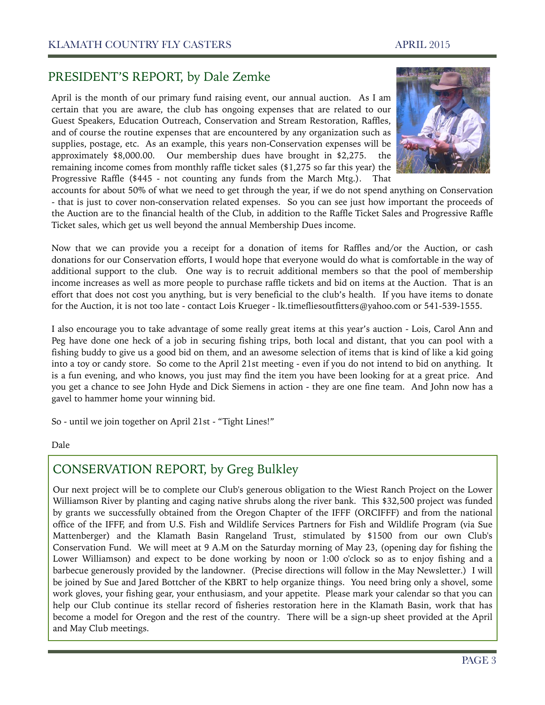#### PRESIDENT'S REPORT, by Dale Zemke

April is the month of our primary fund raising event, our annual auction. As I am certain that you are aware, the club has ongoing expenses that are related to our Guest Speakers, Education Outreach, Conservation and Stream Restoration, Raffles, and of course the routine expenses that are encountered by any organization such as supplies, postage, etc. As an example, this years non-Conservation expenses will be approximately \$8,000.00. Our membership dues have brought in \$2,275. the remaining income comes from monthly raffle ticket sales (\$1,275 so far this year) the Progressive Raffle (\$445 - not counting any funds from the March Mtg.). That



accounts for about 50% of what we need to get through the year, if we do not spend anything on Conservation - that is just to cover non-conservation related expenses. So you can see just how important the proceeds of the Auction are to the financial health of the Club, in addition to the Raffle Ticket Sales and Progressive Raffle Ticket sales, which get us well beyond the annual Membership Dues income.

Now that we can provide you a receipt for a donation of items for Raffles and/or the Auction, or cash donations for our Conservation efforts, I would hope that everyone would do what is comfortable in the way of additional support to the club. One way is to recruit additional members so that the pool of membership income increases as well as more people to purchase raffle tickets and bid on items at the Auction. That is an effort that does not cost you anything, but is very beneficial to the club's health. If you have items to donate for the Auction, it is not too late - contact Lois Krueger - lk.timefliesoutfitters@yahoo.com or 541-539-1555.

I also encourage you to take advantage of some really great items at this year's auction - Lois, Carol Ann and Peg have done one heck of a job in securing fishing trips, both local and distant, that you can pool with a fishing buddy to give us a good bid on them, and an awesome selection of items that is kind of like a kid going into a toy or candy store. So come to the April 21st meeting - even if you do not intend to bid on anything. It is a fun evening, and who knows, you just may find the item you have been looking for at a great price. And you get a chance to see John Hyde and Dick Siemens in action - they are one fine team. And John now has a gavel to hammer home your winning bid.

So - until we join together on April 21st - "Tight Lines!"

#### Dale

#### CONSERVATION REPORT, by Greg Bulkley

Our next project will be to complete our Club's generous obligation to the Wiest Ranch Project on the Lower Williamson River by planting and caging native shrubs along the river bank. This \$32,500 project was funded by grants we successfully obtained from the Oregon Chapter of the IFFF (ORCIFFF) and from the national office of the IFFF, and from U.S. Fish and Wildlife Services Partners for Fish and Wildlife Program (via Sue Mattenberger) and the Klamath Basin Rangeland Trust, stimulated by \$1500 from our own Club's Conservation Fund. We will meet at 9 A.M on the Saturday morning of May 23, (opening day for fishing the Lower Williamson) and expect to be done working by noon or 1:00 o'clock so as to enjoy fishing and a barbecue generously provided by the landowner. (Precise directions will follow in the May Newsletter.) I will be joined by Sue and Jared Bottcher of the KBRT to help organize things. You need bring only a shovel, some work gloves, your fishing gear, your enthusiasm, and your appetite. Please mark your calendar so that you can help our Club continue its stellar record of fisheries restoration here in the Klamath Basin, work that has become a model for Oregon and the rest of the country. There will be a sign-up sheet provided at the April and May Club meetings.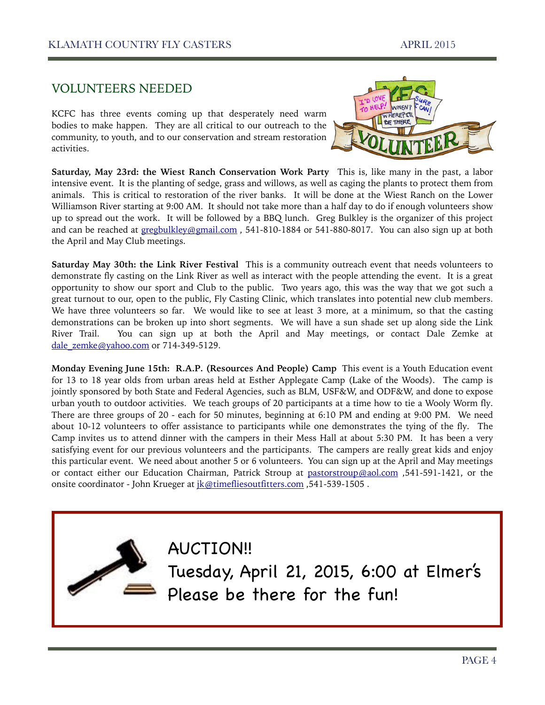#### VOLUNTEERS NEEDED

KCFC has three events coming up that desperately need warm bodies to make happen. They are all critical to our outreach to the community, to youth, and to our conservation and stream restoration activities.



**Saturday, May 23rd: the Wiest Ranch Conservation Work Party** This is, like many in the past, a labor intensive event. It is the planting of sedge, grass and willows, as well as caging the plants to protect them from animals. This is critical to restoration of the river banks. It will be done at the Wiest Ranch on the Lower Williamson River starting at 9:00 AM. It should not take more than a half day to do if enough volunteers show up to spread out the work. It will be followed by a BBQ lunch. Greg Bulkley is the organizer of this project and can be reached at [gregbulkley@gmail.com](mailto:gregbulkley@gmail.com) , 541-810-1884 or 541-880-8017. You can also sign up at both the April and May Club meetings.

**Saturday May 30th: the Link River Festival** This is a community outreach event that needs volunteers to demonstrate fly casting on the Link River as well as interact with the people attending the event. It is a great opportunity to show our sport and Club to the public. Two years ago, this was the way that we got such a great turnout to our, open to the public, Fly Casting Clinic, which translates into potential new club members. We have three volunteers so far. We would like to see at least 3 more, at a minimum, so that the casting demonstrations can be broken up into short segments. We will have a sun shade set up along side the Link River Trail. You can sign up at both the April and May meetings, or contact Dale Zemke at [dale\\_zemke@yahoo.com](mailto:dale_zemke@yahoo.com) or 714-349-5129.

**Monday Evening June 15th: R.A.P. (Resources And People) Camp** This event is a Youth Education event for 13 to 18 year olds from urban areas held at Esther Applegate Camp (Lake of the Woods). The camp is jointly sponsored by both State and Federal Agencies, such as BLM, USF&W, and ODF&W, and done to expose urban youth to outdoor activities. We teach groups of 20 participants at a time how to tie a Wooly Worm fly. There are three groups of 20 - each for 50 minutes, beginning at 6:10 PM and ending at 9:00 PM. We need about 10-12 volunteers to offer assistance to participants while one demonstrates the tying of the fly. The Camp invites us to attend dinner with the campers in their Mess Hall at about 5:30 PM. It has been a very satisfying event for our previous volunteers and the participants. The campers are really great kids and enjoy this particular event. We need about another 5 or 6 volunteers. You can sign up at the April and May meetings or contact either our Education Chairman, Patrick Stroup at [pastorstroup@aol.com](mailto:pastorstroup@aol.com) ,541-591-1421, or the onsite coordinator - John Krueger at [jk@timefliesoutfitters.com](mailto:jk@timefliesoutfitters.com) ,541-539-1505.



AUCTION!! Tuesday, April 21, 2015, 6:00 at Elmer's Please be there for the fun!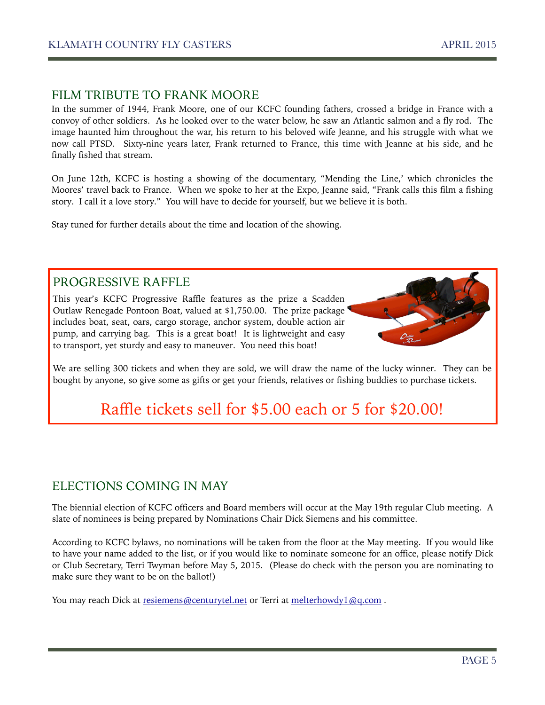#### FILM TRIBUTE TO FRANK MOORE

In the summer of 1944, Frank Moore, one of our KCFC founding fathers, crossed a bridge in France with a convoy of other soldiers. As he looked over to the water below, he saw an Atlantic salmon and a fly rod. The image haunted him throughout the war, his return to his beloved wife Jeanne, and his struggle with what we now call PTSD. Sixty-nine years later, Frank returned to France, this time with Jeanne at his side, and he finally fished that stream.

On June 12th, KCFC is hosting a showing of the documentary, "Mending the Line,' which chronicles the Moores' travel back to France. When we spoke to her at the Expo, Jeanne said, "Frank calls this film a fishing story. I call it a love story." You will have to decide for yourself, but we believe it is both.

Stay tuned for further details about the time and location of the showing.

#### PROGRESSIVE RAFFLE

This year's KCFC Progressive Raffle features as the prize a Scadden Outlaw Renegade Pontoon Boat, valued at \$1,750.00. The prize package includes boat, seat, oars, cargo storage, anchor system, double action air pump, and carrying bag. This is a great boat! It is lightweight and easy to transport, yet sturdy and easy to maneuver. You need this boat!



We are selling 300 tickets and when they are sold, we will draw the name of the lucky winner. They can be bought by anyone, so give some as gifts or get your friends, relatives or fishing buddies to purchase tickets.

# Raffle tickets sell for \$5.00 each or 5 for \$20.00!

#### ELECTIONS COMING IN MAY

The biennial election of KCFC officers and Board members will occur at the May 19th regular Club meeting. A slate of nominees is being prepared by Nominations Chair Dick Siemens and his committee.

According to KCFC bylaws, no nominations will be taken from the floor at the May meeting. If you would like to have your name added to the list, or if you would like to nominate someone for an office, please notify Dick or Club Secretary, Terri Twyman before May 5, 2015. (Please do check with the person you are nominating to make sure they want to be on the ballot!)

You may reach Dick at [resiemens@centurytel.net](mailto:resiemens@centurytel.net) or Terri at melterhowdy1@q.com.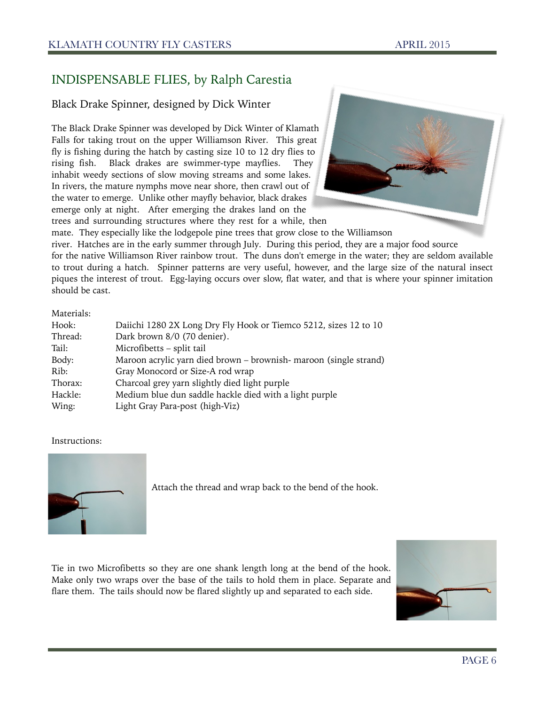#### INDISPENSABLE FLIES, by Ralph Carestia

#### Black Drake Spinner, designed by Dick Winter

The Black Drake Spinner was developed by Dick Winter of Klamath Falls for taking trout on the upper Williamson River. This great fly is fishing during the hatch by casting size 10 to 12 dry flies to rising fish. Black drakes are swimmer-type mayflies. They inhabit weedy sections of slow moving streams and some lakes. In rivers, the mature nymphs move near shore, then crawl out of the water to emerge. Unlike other mayfly behavior, black drakes emerge only at night. After emerging the drakes land on the trees and surrounding structures where they rest for a while, then



mate. They especially like the lodgepole pine trees that grow close to the Williamson

river. Hatches are in the early summer through July. During this period, they are a major food source

for the native Williamson River rainbow trout. The duns don't emerge in the water; they are seldom available to trout during a hatch. Spinner patterns are very useful, however, and the large size of the natural insect piques the interest of trout. Egg-laying occurs over slow, flat water, and that is where your spinner imitation should be cast.

#### Materials:

| Hook:   | Daiichi 1280 2X Long Dry Fly Hook or Tiemco 5212, sizes 12 to 10  |
|---------|-------------------------------------------------------------------|
| Thread: | Dark brown 8/0 (70 denier).                                       |
| Tail:   | Microfibetts - split tail                                         |
| Body:   | Maroon acrylic yarn died brown – brownish- maroon (single strand) |
| Rib:    | Gray Monocord or Size-A rod wrap                                  |
| Thorax: | Charcoal grey yarn slightly died light purple                     |
| Hackle: | Medium blue dun saddle hackle died with a light purple            |
| Wing:   | Light Gray Para-post (high-Viz)                                   |

#### Instructions:



Attach the thread and wrap back to the bend of the hook.

Tie in two Microfibetts so they are one shank length long at the bend of the hook. Make only two wraps over the base of the tails to hold them in place. Separate and flare them. The tails should now be flared slightly up and separated to each side.

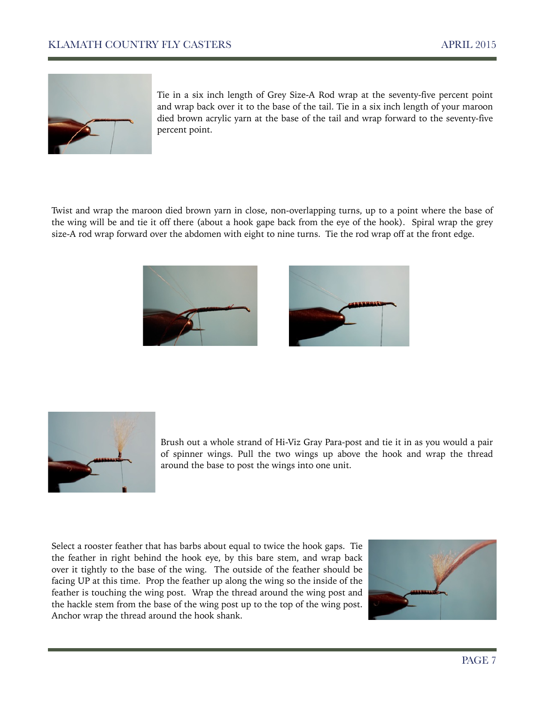

Tie in a six inch length of Grey Size-A Rod wrap at the seventy-five percent point and wrap back over it to the base of the tail. Tie in a six inch length of your maroon died brown acrylic yarn at the base of the tail and wrap forward to the seventy-five percent point.

Twist and wrap the maroon died brown yarn in close, non-overlapping turns, up to a point where the base of the wing will be and tie it off there (about a hook gape back from the eye of the hook). Spiral wrap the grey size-A rod wrap forward over the abdomen with eight to nine turns. Tie the rod wrap off at the front edge.







Brush out a whole strand of Hi-Viz Gray Para-post and tie it in as you would a pair of spinner wings. Pull the two wings up above the hook and wrap the thread around the base to post the wings into one unit.

Select a rooster feather that has barbs about equal to twice the hook gaps. Tie the feather in right behind the hook eye, by this bare stem, and wrap back over it tightly to the base of the wing. The outside of the feather should be facing UP at this time. Prop the feather up along the wing so the inside of the feather is touching the wing post. Wrap the thread around the wing post and the hackle stem from the base of the wing post up to the top of the wing post. Anchor wrap the thread around the hook shank.

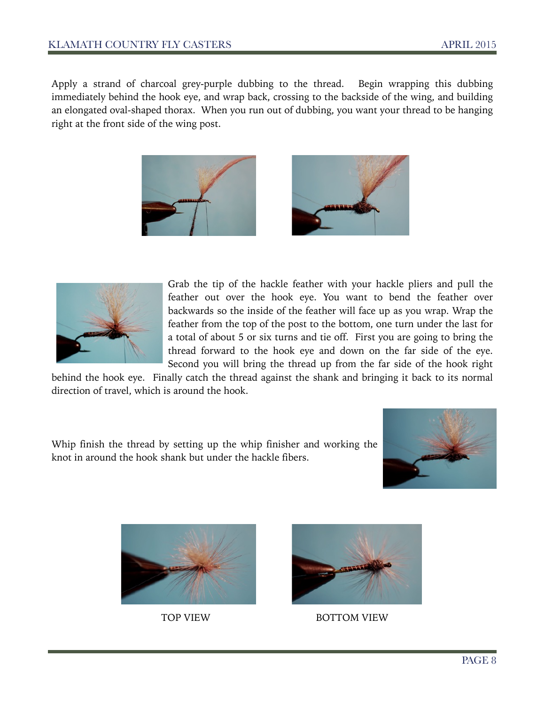Apply a strand of charcoal grey-purple dubbing to the thread. Begin wrapping this dubbing immediately behind the hook eye, and wrap back, crossing to the backside of the wing, and building an elongated oval-shaped thorax. When you run out of dubbing, you want your thread to be hanging right at the front side of the wing post.





Grab the tip of the hackle feather with your hackle pliers and pull the feather out over the hook eye. You want to bend the feather over backwards so the inside of the feather will face up as you wrap. Wrap the feather from the top of the post to the bottom, one turn under the last for a total of about 5 or six turns and tie off. First you are going to bring the thread forward to the hook eye and down on the far side of the eye. Second you will bring the thread up from the far side of the hook right

behind the hook eye. Finally catch the thread against the shank and bringing it back to its normal direction of travel, which is around the hook.

Whip finish the thread by setting up the whip finisher and working the knot in around the hook shank but under the hackle fibers.







TOP VIEW BOTTOM VIEW